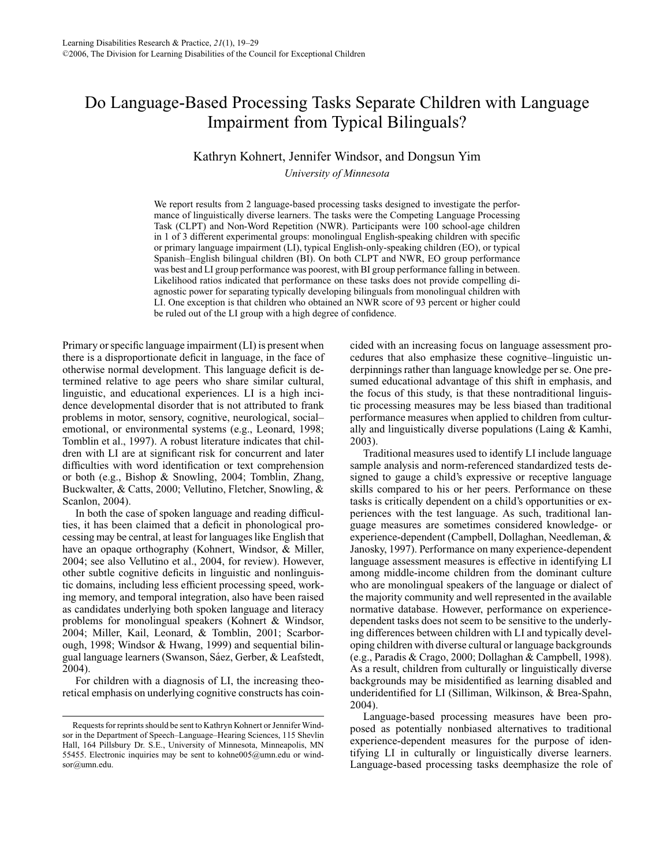# Do Language-Based Processing Tasks Separate Children with Language Impairment from Typical Bilinguals?

Kathryn Kohnert, Jennifer Windsor, and Dongsun Yim

*University of Minnesota*

We report results from 2 language-based processing tasks designed to investigate the performance of linguistically diverse learners. The tasks were the Competing Language Processing Task (CLPT) and Non-Word Repetition (NWR). Participants were 100 school-age children in 1 of 3 different experimental groups: monolingual English-speaking children with specific or primary language impairment (LI), typical English-only-speaking children (EO), or typical Spanish–English bilingual children (BI). On both CLPT and NWR, EO group performance was best and LI group performance was poorest, with BI group performance falling in between. Likelihood ratios indicated that performance on these tasks does not provide compelling diagnostic power for separating typically developing bilinguals from monolingual children with LI. One exception is that children who obtained an NWR score of 93 percent or higher could be ruled out of the LI group with a high degree of confidence.

Primary or specific language impairment (LI) is present when there is a disproportionate deficit in language, in the face of otherwise normal development. This language deficit is determined relative to age peers who share similar cultural, linguistic, and educational experiences. LI is a high incidence developmental disorder that is not attributed to frank problems in motor, sensory, cognitive, neurological, social– emotional, or environmental systems (e.g., Leonard, 1998; Tomblin et al., 1997). A robust literature indicates that children with LI are at significant risk for concurrent and later difficulties with word identification or text comprehension or both (e.g., Bishop & Snowling, 2004; Tomblin, Zhang, Buckwalter, & Catts, 2000; Vellutino, Fletcher, Snowling, & Scanlon, 2004).

In both the case of spoken language and reading difficulties, it has been claimed that a deficit in phonological processing may be central, at least for languages like English that have an opaque orthography (Kohnert, Windsor, & Miller, 2004; see also Vellutino et al., 2004, for review). However, other subtle cognitive deficits in linguistic and nonlinguistic domains, including less efficient processing speed, working memory, and temporal integration, also have been raised as candidates underlying both spoken language and literacy problems for monolingual speakers (Kohnert & Windsor, 2004; Miller, Kail, Leonard, & Tomblin, 2001; Scarborough, 1998; Windsor & Hwang, 1999) and sequential bilingual language learners (Swanson, Sáez, Gerber, & Leafstedt, 2004).

For children with a diagnosis of LI, the increasing theoretical emphasis on underlying cognitive constructs has coincided with an increasing focus on language assessment procedures that also emphasize these cognitive–linguistic underpinnings rather than language knowledge per se. One presumed educational advantage of this shift in emphasis, and the focus of this study, is that these nontraditional linguistic processing measures may be less biased than traditional performance measures when applied to children from culturally and linguistically diverse populations (Laing & Kamhi, 2003).

Traditional measures used to identify LI include language sample analysis and norm-referenced standardized tests designed to gauge a child's expressive or receptive language skills compared to his or her peers. Performance on these tasks is critically dependent on a child's opportunities or experiences with the test language. As such, traditional language measures are sometimes considered knowledge- or experience-dependent (Campbell, Dollaghan, Needleman, & Janosky, 1997). Performance on many experience-dependent language assessment measures is effective in identifying LI among middle-income children from the dominant culture who are monolingual speakers of the language or dialect of the majority community and well represented in the available normative database. However, performance on experiencedependent tasks does not seem to be sensitive to the underlying differences between children with LI and typically developing children with diverse cultural or language backgrounds (e.g., Paradis & Crago, 2000; Dollaghan & Campbell, 1998). As a result, children from culturally or linguistically diverse backgrounds may be misidentified as learning disabled and underidentified for LI (Silliman, Wilkinson, & Brea-Spahn, 2004).

Language-based processing measures have been proposed as potentially nonbiased alternatives to traditional experience-dependent measures for the purpose of identifying LI in culturally or linguistically diverse learners. Language-based processing tasks deemphasize the role of

Requests for reprints should be sent to Kathryn Kohnert or Jennifer Windsor in the Department of Speech–Language–Hearing Sciences, 115 Shevlin Hall, 164 Pillsbury Dr. S.E., University of Minnesota, Minneapolis, MN 55455. Electronic inquiries may be sent to kohne005@umn.edu or windsor@umn.edu.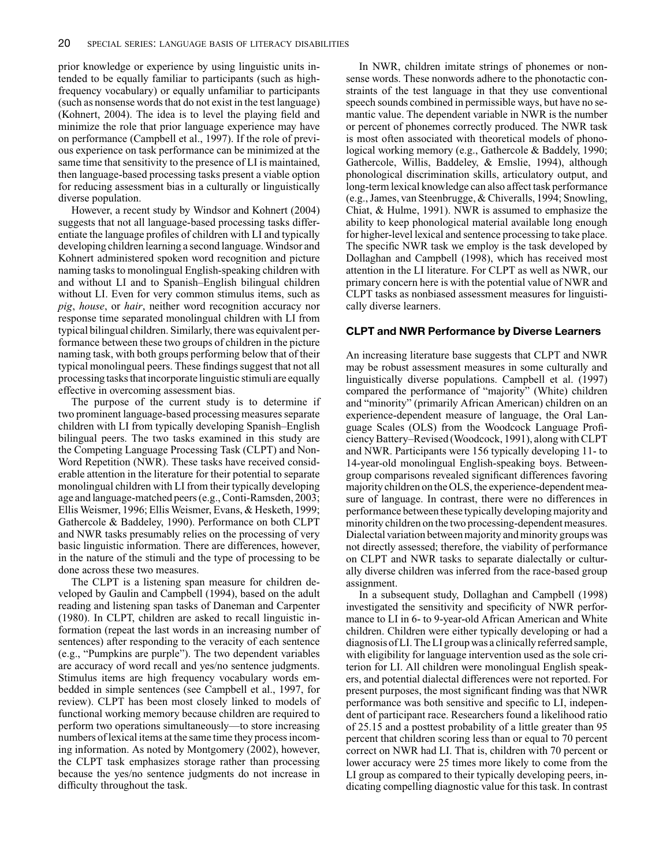prior knowledge or experience by using linguistic units intended to be equally familiar to participants (such as highfrequency vocabulary) or equally unfamiliar to participants (such as nonsense words that do not exist in the test language) (Kohnert, 2004). The idea is to level the playing field and minimize the role that prior language experience may have on performance (Campbell et al., 1997). If the role of previous experience on task performance can be minimized at the same time that sensitivity to the presence of LI is maintained, then language-based processing tasks present a viable option for reducing assessment bias in a culturally or linguistically diverse population.

However, a recent study by Windsor and Kohnert (2004) suggests that not all language-based processing tasks differentiate the language profiles of children with LI and typically developing children learning a second language. Windsor and Kohnert administered spoken word recognition and picture naming tasks to monolingual English-speaking children with and without LI and to Spanish–English bilingual children without LI. Even for very common stimulus items, such as *pig*, *house*, or *hair*, neither word recognition accuracy nor response time separated monolingual children with LI from typical bilingual children. Similarly, there was equivalent performance between these two groups of children in the picture naming task, with both groups performing below that of their typical monolingual peers. These findings suggest that not all processing tasks that incorporate linguistic stimuli are equally effective in overcoming assessment bias.

The purpose of the current study is to determine if two prominent language-based processing measures separate children with LI from typically developing Spanish–English bilingual peers. The two tasks examined in this study are the Competing Language Processing Task (CLPT) and Non-Word Repetition (NWR). These tasks have received considerable attention in the literature for their potential to separate monolingual children with LI from their typically developing age and language-matched peers (e.g., Conti-Ramsden, 2003; Ellis Weismer, 1996; Ellis Weismer, Evans, & Hesketh, 1999; Gathercole & Baddeley, 1990). Performance on both CLPT and NWR tasks presumably relies on the processing of very basic linguistic information. There are differences, however, in the nature of the stimuli and the type of processing to be done across these two measures.

The CLPT is a listening span measure for children developed by Gaulin and Campbell (1994), based on the adult reading and listening span tasks of Daneman and Carpenter (1980). In CLPT, children are asked to recall linguistic information (repeat the last words in an increasing number of sentences) after responding to the veracity of each sentence (e.g., "Pumpkins are purple"). The two dependent variables are accuracy of word recall and yes/no sentence judgments. Stimulus items are high frequency vocabulary words embedded in simple sentences (see Campbell et al., 1997, for review). CLPT has been most closely linked to models of functional working memory because children are required to perform two operations simultaneously—to store increasing numbers of lexical items at the same time they process incoming information. As noted by Montgomery (2002), however, the CLPT task emphasizes storage rather than processing because the yes/no sentence judgments do not increase in difficulty throughout the task.

In NWR, children imitate strings of phonemes or nonsense words. These nonwords adhere to the phonotactic constraints of the test language in that they use conventional speech sounds combined in permissible ways, but have no semantic value. The dependent variable in NWR is the number or percent of phonemes correctly produced. The NWR task is most often associated with theoretical models of phonological working memory (e.g., Gathercole & Baddely, 1990; Gathercole, Willis, Baddeley, & Emslie, 1994), although phonological discrimination skills, articulatory output, and long-term lexical knowledge can also affect task performance (e.g., James, van Steenbrugge, & Chiveralls, 1994; Snowling, Chiat, & Hulme, 1991). NWR is assumed to emphasize the ability to keep phonological material available long enough for higher-level lexical and sentence processing to take place. The specific NWR task we employ is the task developed by Dollaghan and Campbell (1998), which has received most attention in the LI literature. For CLPT as well as NWR, our primary concern here is with the potential value of NWR and CLPT tasks as nonbiased assessment measures for linguistically diverse learners.

## **CLPT and NWR Performance by Diverse Learners**

An increasing literature base suggests that CLPT and NWR may be robust assessment measures in some culturally and linguistically diverse populations. Campbell et al. (1997) compared the performance of "majority" (White) children and "minority" (primarily African American) children on an experience-dependent measure of language, the Oral Language Scales (OLS) from the Woodcock Language Proficiency Battery–Revised (Woodcock, 1991), along with CLPT and NWR. Participants were 156 typically developing 11- to 14-year-old monolingual English-speaking boys. Betweengroup comparisons revealed significant differences favoring majority children on the OLS, the experience-dependent measure of language. In contrast, there were no differences in performance between these typically developing majority and minority children on the two processing-dependent measures. Dialectal variation between majority and minority groups was not directly assessed; therefore, the viability of performance on CLPT and NWR tasks to separate dialectally or culturally diverse children was inferred from the race-based group assignment.

In a subsequent study, Dollaghan and Campbell (1998) investigated the sensitivity and specificity of NWR performance to LI in 6- to 9-year-old African American and White children. Children were either typically developing or had a diagnosis of LI. The LI group was a clinically referred sample, with eligibility for language intervention used as the sole criterion for LI. All children were monolingual English speakers, and potential dialectal differences were not reported. For present purposes, the most significant finding was that NWR performance was both sensitive and specific to LI, independent of participant race. Researchers found a likelihood ratio of 25.15 and a posttest probability of a little greater than 95 percent that children scoring less than or equal to 70 percent correct on NWR had LI. That is, children with 70 percent or lower accuracy were 25 times more likely to come from the LI group as compared to their typically developing peers, indicating compelling diagnostic value for this task. In contrast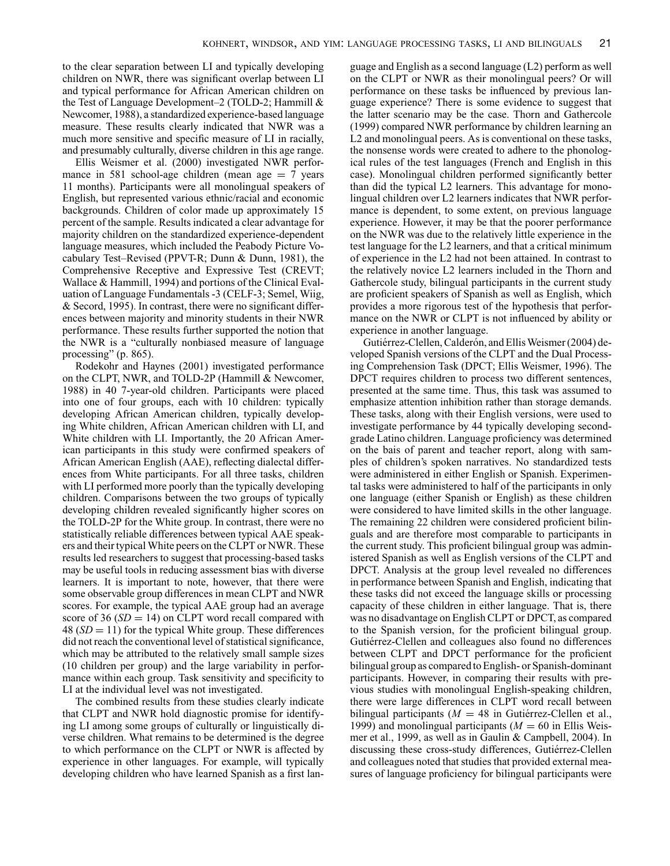to the clear separation between LI and typically developing children on NWR, there was significant overlap between LI and typical performance for African American children on the Test of Language Development–2 (TOLD-2; Hammill & Newcomer, 1988), a standardized experience-based language measure. These results clearly indicated that NWR was a much more sensitive and specific measure of LI in racially, and presumably culturally, diverse children in this age range.

Ellis Weismer et al. (2000) investigated NWR performance in 581 school-age children (mean age  $= 7$  years 11 months). Participants were all monolingual speakers of English, but represented various ethnic/racial and economic backgrounds. Children of color made up approximately 15 percent of the sample. Results indicated a clear advantage for majority children on the standardized experience-dependent language measures, which included the Peabody Picture Vocabulary Test–Revised (PPVT-R; Dunn & Dunn, 1981), the Comprehensive Receptive and Expressive Test (CREVT; Wallace & Hammill, 1994) and portions of the Clinical Evaluation of Language Fundamentals -3 (CELF-3; Semel, Wiig, & Secord, 1995). In contrast, there were no significant differences between majority and minority students in their NWR performance. These results further supported the notion that the NWR is a "culturally nonbiased measure of language processing" (p. 865).

Rodekohr and Haynes (2001) investigated performance on the CLPT, NWR, and TOLD-2P (Hammill & Newcomer, 1988) in 40 7-year-old children. Participants were placed into one of four groups, each with 10 children: typically developing African American children, typically developing White children, African American children with LI, and White children with LI. Importantly, the 20 African American participants in this study were confirmed speakers of African American English (AAE), reflecting dialectal differences from White participants. For all three tasks, children with LI performed more poorly than the typically developing children. Comparisons between the two groups of typically developing children revealed significantly higher scores on the TOLD-2P for the White group. In contrast, there were no statistically reliable differences between typical AAE speakers and their typical White peers on the CLPT or NWR. These results led researchers to suggest that processing-based tasks may be useful tools in reducing assessment bias with diverse learners. It is important to note, however, that there were some observable group differences in mean CLPT and NWR scores. For example, the typical AAE group had an average score of 36  $(SD = 14)$  on CLPT word recall compared with  $48 (SD = 11)$  for the typical White group. These differences did not reach the conventional level of statistical significance, which may be attributed to the relatively small sample sizes (10 children per group) and the large variability in performance within each group. Task sensitivity and specificity to LI at the individual level was not investigated.

The combined results from these studies clearly indicate that CLPT and NWR hold diagnostic promise for identifying LI among some groups of culturally or linguistically diverse children. What remains to be determined is the degree to which performance on the CLPT or NWR is affected by experience in other languages. For example, will typically developing children who have learned Spanish as a first language and English as a second language (L2) perform as well on the CLPT or NWR as their monolingual peers? Or will performance on these tasks be influenced by previous language experience? There is some evidence to suggest that the latter scenario may be the case. Thorn and Gathercole (1999) compared NWR performance by children learning an L2 and monolingual peers. As is conventional on these tasks, the nonsense words were created to adhere to the phonological rules of the test languages (French and English in this case). Monolingual children performed significantly better than did the typical L2 learners. This advantage for monolingual children over L2 learners indicates that NWR performance is dependent, to some extent, on previous language experience. However, it may be that the poorer performance on the NWR was due to the relatively little experience in the test language for the L2 learners, and that a critical minimum of experience in the L2 had not been attained. In contrast to the relatively novice L2 learners included in the Thorn and Gathercole study, bilingual participants in the current study are proficient speakers of Spanish as well as English, which provides a more rigorous test of the hypothesis that performance on the NWR or CLPT is not influenced by ability or experience in another language.

Gutiérrez-Clellen, Calderón, and Ellis Weismer (2004) developed Spanish versions of the CLPT and the Dual Processing Comprehension Task (DPCT; Ellis Weismer, 1996). The DPCT requires children to process two different sentences, presented at the same time. Thus, this task was assumed to emphasize attention inhibition rather than storage demands. These tasks, along with their English versions, were used to investigate performance by 44 typically developing secondgrade Latino children. Language proficiency was determined on the bais of parent and teacher report, along with samples of children's spoken narratives. No standardized tests were administered in either English or Spanish. Experimental tasks were administered to half of the participants in only one language (either Spanish or English) as these children were considered to have limited skills in the other language. The remaining 22 children were considered proficient bilinguals and are therefore most comparable to participants in the current study. This proficient bilingual group was administered Spanish as well as English versions of the CLPT and DPCT. Analysis at the group level revealed no differences in performance between Spanish and English, indicating that these tasks did not exceed the language skills or processing capacity of these children in either language. That is, there was no disadvantage on English CLPT or DPCT, as compared to the Spanish version, for the proficient bilingual group. Gutiérrez-Clellen and colleagues also found no differences between CLPT and DPCT performance for the proficient bilingual group as compared to English- or Spanish-dominant participants. However, in comparing their results with previous studies with monolingual English-speaking children, there were large differences in CLPT word recall between bilingual participants ( $M = 48$  in Gutiérrez-Clellen et al., 1999) and monolingual participants  $(M = 60$  in Ellis Weismer et al., 1999, as well as in Gaulin & Campbell, 2004). In discussing these cross-study differences, Gutiérrez-Clellen and colleagues noted that studies that provided external measures of language proficiency for bilingual participants were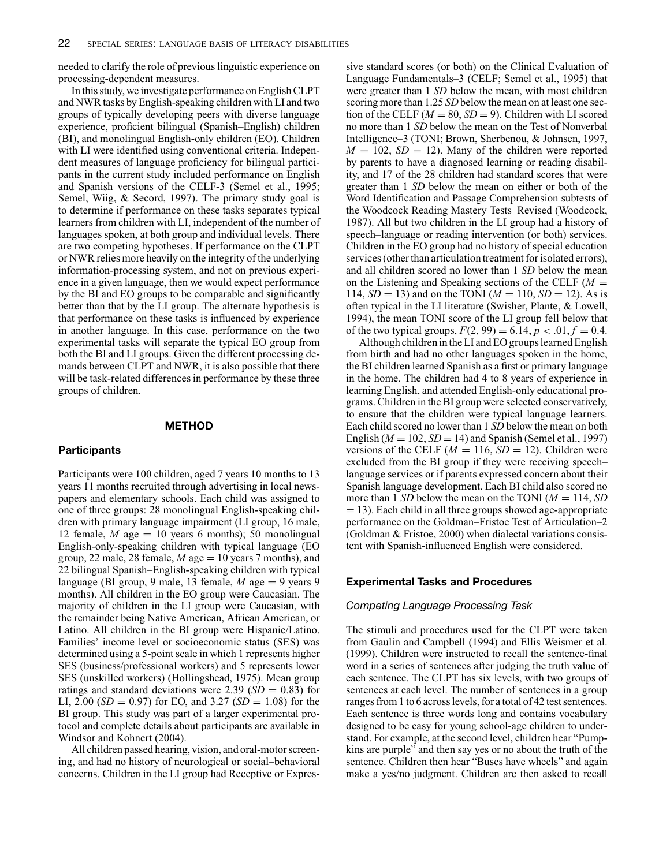needed to clarify the role of previous linguistic experience on processing-dependent measures.

In this study, we investigate performance on English CLPT and NWR tasks by English-speaking children with LI and two groups of typically developing peers with diverse language experience, proficient bilingual (Spanish–English) children (BI), and monolingual English-only children (EO). Children with LI were identified using conventional criteria. Independent measures of language proficiency for bilingual participants in the current study included performance on English and Spanish versions of the CELF-3 (Semel et al., 1995; Semel, Wiig, & Secord, 1997). The primary study goal is to determine if performance on these tasks separates typical learners from children with LI, independent of the number of languages spoken, at both group and individual levels. There are two competing hypotheses. If performance on the CLPT or NWR relies more heavily on the integrity of the underlying information-processing system, and not on previous experience in a given language, then we would expect performance by the BI and EO groups to be comparable and significantly better than that by the LI group. The alternate hypothesis is that performance on these tasks is influenced by experience in another language. In this case, performance on the two experimental tasks will separate the typical EO group from both the BI and LI groups. Given the different processing demands between CLPT and NWR, it is also possible that there will be task-related differences in performance by these three groups of children.

## **METHOD**

## **Participants**

Participants were 100 children, aged 7 years 10 months to 13 years 11 months recruited through advertising in local newspapers and elementary schools. Each child was assigned to one of three groups: 28 monolingual English-speaking children with primary language impairment (LI group, 16 male, 12 female,  $M$  age  $= 10$  years 6 months); 50 monolingual English-only-speaking children with typical language (EO group, 22 male, 28 female,  $M$  age  $= 10$  years 7 months), and 22 bilingual Spanish–English-speaking children with typical language (BI group, 9 male, 13 female, *M* age = 9 years 9 months). All children in the EO group were Caucasian. The majority of children in the LI group were Caucasian, with the remainder being Native American, African American, or Latino. All children in the BI group were Hispanic/Latino. Families' income level or socioeconomic status (SES) was determined using a 5-point scale in which 1 represents higher SES (business/professional workers) and 5 represents lower SES (unskilled workers) (Hollingshead, 1975). Mean group ratings and standard deviations were 2.39  $(SD = 0.83)$  for LI, 2.00 (*SD* = 0.97) for EO, and 3.27 (*SD* = 1.08) for the BI group. This study was part of a larger experimental protocol and complete details about participants are available in Windsor and Kohnert (2004).

All children passed hearing, vision, and oral-motor screening, and had no history of neurological or social–behavioral concerns. Children in the LI group had Receptive or Expressive standard scores (or both) on the Clinical Evaluation of Language Fundamentals–3 (CELF; Semel et al., 1995) that were greater than 1 *SD* below the mean, with most children scoring more than 1.25 *SD* below the mean on at least one section of the CELF  $(M = 80, SD = 9)$ . Children with LI scored no more than 1 *SD* below the mean on the Test of Nonverbal Intelligence–3 (TONI; Brown, Sherbenou, & Johnsen, 1997,  $M = 102$ ,  $SD = 12$ ). Many of the children were reported by parents to have a diagnosed learning or reading disability, and 17 of the 28 children had standard scores that were greater than 1 *SD* below the mean on either or both of the Word Identification and Passage Comprehension subtests of the Woodcock Reading Mastery Tests–Revised (Woodcock, 1987). All but two children in the LI group had a history of speech–language or reading intervention (or both) services. Children in the EO group had no history of special education services (other than articulation treatment for isolated errors), and all children scored no lower than 1 *SD* below the mean on the Listening and Speaking sections of the CELF  $(M =$ 114,  $SD = 13$ ) and on the TONI ( $M = 110$ ,  $SD = 12$ ). As is often typical in the LI literature (Swisher, Plante, & Lowell, 1994), the mean TONI score of the LI group fell below that of the two typical groups,  $F(2, 99) = 6.14$ ,  $p < .01$ ,  $f = 0.4$ .

Although children in the LI and EO groups learned English from birth and had no other languages spoken in the home, the BI children learned Spanish as a first or primary language in the home. The children had 4 to 8 years of experience in learning English, and attended English-only educational programs. Children in the BI group were selected conservatively, to ensure that the children were typical language learners. Each child scored no lower than 1 *SD* below the mean on both English ( $M = 102$ ,  $SD = 14$ ) and Spanish (Semel et al., 1997) versions of the CELF ( $M = 116$ ,  $SD = 12$ ). Children were excluded from the BI group if they were receiving speech– language services or if parents expressed concern about their Spanish language development. Each BI child also scored no more than 1 *SD* below the mean on the TONI ( $M = 114$ , *SD*  $= 13$ ). Each child in all three groups showed age-appropriate performance on the Goldman–Fristoe Test of Articulation–2 (Goldman & Fristoe, 2000) when dialectal variations consistent with Spanish-influenced English were considered.

## **Experimental Tasks and Procedures**

## *Competing Language Processing Task*

The stimuli and procedures used for the CLPT were taken from Gaulin and Campbell (1994) and Ellis Weismer et al. (1999). Children were instructed to recall the sentence-final word in a series of sentences after judging the truth value of each sentence. The CLPT has six levels, with two groups of sentences at each level. The number of sentences in a group ranges from 1 to 6 across levels, for a total of 42 test sentences. Each sentence is three words long and contains vocabulary designed to be easy for young school-age children to understand. For example, at the second level, children hear "Pumpkins are purple" and then say yes or no about the truth of the sentence. Children then hear "Buses have wheels" and again make a yes/no judgment. Children are then asked to recall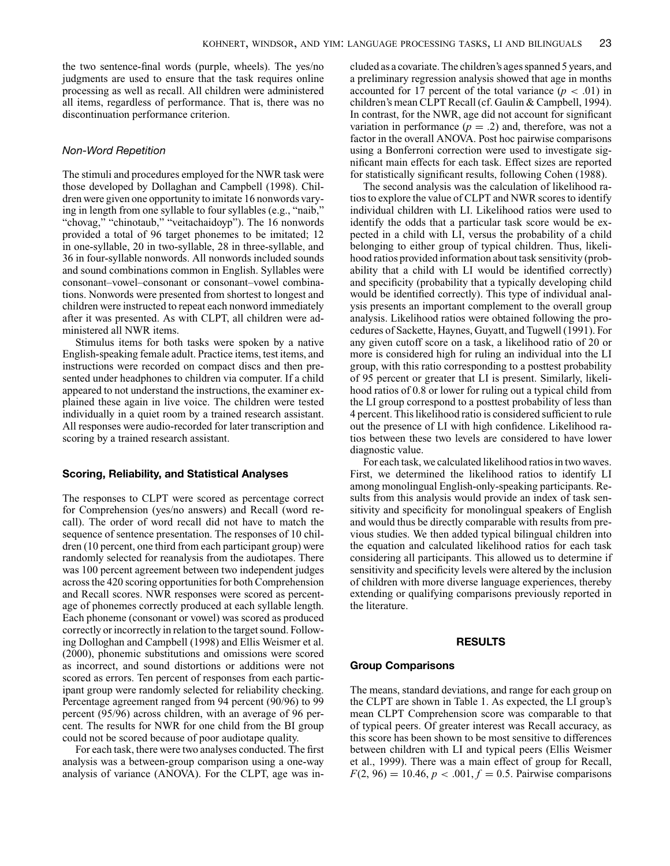the two sentence-final words (purple, wheels). The yes/no judgments are used to ensure that the task requires online processing as well as recall. All children were administered all items, regardless of performance. That is, there was no discontinuation performance criterion.

## *Non-Word Repetition*

The stimuli and procedures employed for the NWR task were those developed by Dollaghan and Campbell (1998). Children were given one opportunity to imitate 16 nonwords varying in length from one syllable to four syllables (e.g., "naib," "chovag," "chinotaub," "veitachaidoyp"). The 16 nonwords provided a total of 96 target phonemes to be imitated; 12 in one-syllable, 20 in two-syllable, 28 in three-syllable, and 36 in four-syllable nonwords. All nonwords included sounds and sound combinations common in English. Syllables were consonant–vowel–consonant or consonant–vowel combinations. Nonwords were presented from shortest to longest and children were instructed to repeat each nonword immediately after it was presented. As with CLPT, all children were administered all NWR items.

Stimulus items for both tasks were spoken by a native English-speaking female adult. Practice items, test items, and instructions were recorded on compact discs and then presented under headphones to children via computer. If a child appeared to not understand the instructions, the examiner explained these again in live voice. The children were tested individually in a quiet room by a trained research assistant. All responses were audio-recorded for later transcription and scoring by a trained research assistant.

## **Scoring, Reliability, and Statistical Analyses**

The responses to CLPT were scored as percentage correct for Comprehension (yes/no answers) and Recall (word recall). The order of word recall did not have to match the sequence of sentence presentation. The responses of 10 children (10 percent, one third from each participant group) were randomly selected for reanalysis from the audiotapes. There was 100 percent agreement between two independent judges across the 420 scoring opportunities for both Comprehension and Recall scores. NWR responses were scored as percentage of phonemes correctly produced at each syllable length. Each phoneme (consonant or vowel) was scored as produced correctly or incorrectly in relation to the target sound. Following Dolloghan and Campbell (1998) and Ellis Weismer et al. (2000), phonemic substitutions and omissions were scored as incorrect, and sound distortions or additions were not scored as errors. Ten percent of responses from each participant group were randomly selected for reliability checking. Percentage agreement ranged from 94 percent (90/96) to 99 percent (95/96) across children, with an average of 96 percent. The results for NWR for one child from the BI group could not be scored because of poor audiotape quality.

For each task, there were two analyses conducted. The first analysis was a between-group comparison using a one-way analysis of variance (ANOVA). For the CLPT, age was included as a covariate. The children's ages spanned 5 years, and a preliminary regression analysis showed that age in months accounted for 17 percent of the total variance  $(p < .01)$  in children's mean CLPT Recall (cf. Gaulin & Campbell, 1994). In contrast, for the NWR, age did not account for significant variation in performance  $(p = .2)$  and, therefore, was not a factor in the overall ANOVA. Post hoc pairwise comparisons using a Bonferroni correction were used to investigate significant main effects for each task. Effect sizes are reported for statistically significant results, following Cohen (1988).

The second analysis was the calculation of likelihood ratios to explore the value of CLPT and NWR scores to identify individual children with LI. Likelihood ratios were used to identify the odds that a particular task score would be expected in a child with LI, versus the probability of a child belonging to either group of typical children. Thus, likelihood ratios provided information about task sensitivity (probability that a child with LI would be identified correctly) and specificity (probability that a typically developing child would be identified correctly). This type of individual analysis presents an important complement to the overall group analysis. Likelihood ratios were obtained following the procedures of Sackette, Haynes, Guyatt, and Tugwell (1991). For any given cutoff score on a task, a likelihood ratio of 20 or more is considered high for ruling an individual into the LI group, with this ratio corresponding to a posttest probability of 95 percent or greater that LI is present. Similarly, likelihood ratios of 0.8 or lower for ruling out a typical child from the LI group correspond to a posttest probability of less than 4 percent. This likelihood ratio is considered sufficient to rule out the presence of LI with high confidence. Likelihood ratios between these two levels are considered to have lower diagnostic value.

For each task, we calculated likelihood ratios in two waves. First, we determined the likelihood ratios to identify LI among monolingual English-only-speaking participants. Results from this analysis would provide an index of task sensitivity and specificity for monolingual speakers of English and would thus be directly comparable with results from previous studies. We then added typical bilingual children into the equation and calculated likelihood ratios for each task considering all participants. This allowed us to determine if sensitivity and specificity levels were altered by the inclusion of children with more diverse language experiences, thereby extending or qualifying comparisons previously reported in the literature.

#### **RESULTS**

## **Group Comparisons**

The means, standard deviations, and range for each group on the CLPT are shown in Table 1. As expected, the LI group's mean CLPT Comprehension score was comparable to that of typical peers. Of greater interest was Recall accuracy, as this score has been shown to be most sensitive to differences between children with LI and typical peers (Ellis Weismer et al., 1999). There was a main effect of group for Recall,  $F(2, 96) = 10.46, p < .001, f = 0.5$ . Pairwise comparisons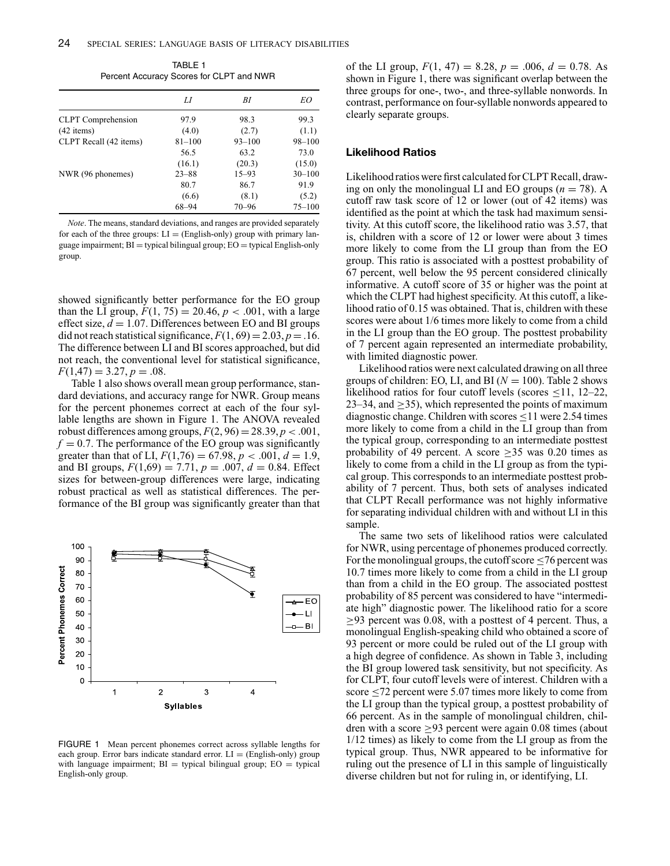| TABLE 1                                  |
|------------------------------------------|
| Percent Accuracy Scores for CLPT and NWR |

|                           | LI         | ВI         | EO         |
|---------------------------|------------|------------|------------|
| <b>CLPT</b> Comprehension | 97.9       | 98.3       | 99.3       |
| $(42$ items)              | (4.0)      | (2.7)      | (1.1)      |
| CLPT Recall (42 items)    | $81 - 100$ | $93 - 100$ | $98 - 100$ |
|                           | 56.5       | 63.2       | 73.0       |
|                           | (16.1)     | (20.3)     | (15.0)     |
| NWR (96 phonemes)         | $23 - 88$  | $15 - 93$  | $30 - 100$ |
|                           | 80.7       | 86.7       | 91.9       |
|                           | (6.6)      | (8.1)      | (5.2)      |
|                           | $68 - 94$  | $70 - 96$  | $75 - 100$ |

*Note*. The means, standard deviations, and ranges are provided separately for each of the three groups:  $LI = (English-only)$  group with primary language impairment;  $BI =$  typical bilingual group;  $EO =$  typical English-only group.

showed significantly better performance for the EO group than the LI group,  $F(1, 75) = 20.46$ ,  $p < .001$ , with a large effect size,  $d = 1.07$ . Differences between EO and BI groups did not reach statistical significance,  $F(1, 69) = 2.03, p = .16$ . The difference between LI and BI scores approached, but did not reach, the conventional level for statistical significance,  $F(1,47) = 3.27, p = .08.$ 

Table 1 also shows overall mean group performance, standard deviations, and accuracy range for NWR. Group means for the percent phonemes correct at each of the four syllable lengths are shown in Figure 1. The ANOVA revealed robust differences among groups,  $F(2, 96) = 28.39$ ,  $p < .001$ ,  $f = 0.7$ . The performance of the EO group was significantly greater than that of LI,  $F(1,76) = 67.98$ ,  $p < .001$ ,  $d = 1.9$ , and BI groups,  $F(1,69) = 7.71$ ,  $p = .007$ ,  $d = 0.84$ . Effect sizes for between-group differences were large, indicating robust practical as well as statistical differences. The performance of the BI group was significantly greater than that



FIGURE 1 Mean percent phonemes correct across syllable lengths for each group. Error bars indicate standard error.  $LI = (English-only)$  group with language impairment;  $BI =$  typical bilingual group;  $EO =$  typical English-only group.

of the LI group,  $F(1, 47) = 8.28$ ,  $p = .006$ ,  $d = 0.78$ . As shown in Figure 1, there was significant overlap between the three groups for one-, two-, and three-syllable nonwords. In contrast, performance on four-syllable nonwords appeared to clearly separate groups.

## **Likelihood Ratios**

Likelihood ratios were first calculated for CLPT Recall, drawing on only the monolingual LI and EO groups  $(n = 78)$ . A cutoff raw task score of 12 or lower (out of 42 items) was identified as the point at which the task had maximum sensitivity. At this cutoff score, the likelihood ratio was 3.57, that is, children with a score of 12 or lower were about 3 times more likely to come from the LI group than from the EO group. This ratio is associated with a posttest probability of 67 percent, well below the 95 percent considered clinically informative. A cutoff score of 35 or higher was the point at which the CLPT had highest specificity. At this cutoff, a likelihood ratio of 0.15 was obtained. That is, children with these scores were about 1/6 times more likely to come from a child in the LI group than the EO group. The posttest probability of 7 percent again represented an intermediate probability, with limited diagnostic power.

Likelihood ratios were next calculated drawing on all three groups of children: EO, LI, and BI  $(N = 100)$ . Table 2 shows likelihood ratios for four cutoff levels (scores ≤11, 12–22, 23–34, and  $\geq$ 35), which represented the points of maximum diagnostic change. Children with scores  $\leq$ 11 were 2.54 times more likely to come from a child in the LI group than from the typical group, corresponding to an intermediate posttest probability of 49 percent. A score  $>35$  was 0.20 times as likely to come from a child in the LI group as from the typical group. This corresponds to an intermediate posttest probability of 7 percent. Thus, both sets of analyses indicated that CLPT Recall performance was not highly informative for separating individual children with and without LI in this sample.

The same two sets of likelihood ratios were calculated for NWR, using percentage of phonemes produced correctly. For the monolingual groups, the cutoff score  $\leq$ 76 percent was 10.7 times more likely to come from a child in the LI group than from a child in the EO group. The associated posttest probability of 85 percent was considered to have "intermediate high" diagnostic power. The likelihood ratio for a score  $\geq$ 93 percent was 0.08, with a posttest of 4 percent. Thus, a monolingual English-speaking child who obtained a score of 93 percent or more could be ruled out of the LI group with a high degree of confidence. As shown in Table 3, including the BI group lowered task sensitivity, but not specificity. As for CLPT, four cutoff levels were of interest. Children with a score  $\leq$ 72 percent were 5.07 times more likely to come from the LI group than the typical group, a posttest probability of 66 percent. As in the sample of monolingual children, children with a score  $\geq$ 93 percent were again 0.08 times (about 1/12 times) as likely to come from the LI group as from the typical group. Thus, NWR appeared to be informative for ruling out the presence of LI in this sample of linguistically diverse children but not for ruling in, or identifying, LI.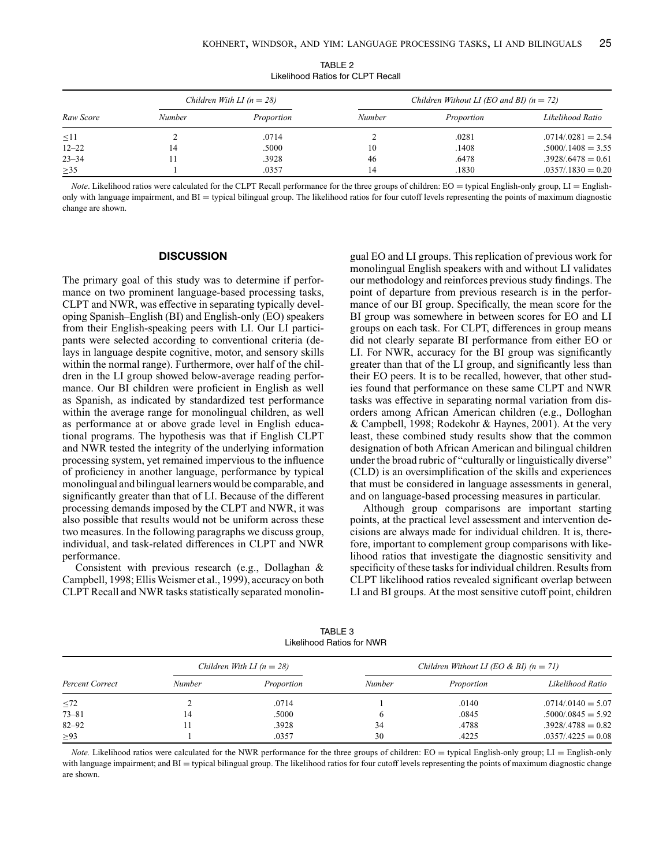| Raw Score | Children With LI $(n = 28)$ |            | Children Without LI (EO and BI) $(n = 72)$ |            |                       |
|-----------|-----------------------------|------------|--------------------------------------------|------------|-----------------------|
|           | <b>Number</b>               | Proportion | Number                                     | Proportion | Likelihood Ratio      |
| $\leq 11$ |                             | .0714      |                                            | .0281      | $.0714/0281 = 2.54$   |
| $12 - 22$ | 14                          | .5000      | 10                                         | .1408      | $.5000/0.1408 = 3.55$ |
| $23 - 34$ |                             | .3928      | 46                                         | .6478      | $.3928/.6478 = 0.61$  |
| $\geq$ 35 |                             | .0357      | 14                                         | .1830      | $.0357/.1830 = 0.20$  |

TABLE 2 Likelihood Ratios for CLPT Recall

*Note*. Likelihood ratios were calculated for the CLPT Recall performance for the three groups of children: EO = typical English-only group, LI = Englishonly with language impairment, and BI = typical bilingual group. The likelihood ratios for four cutoff levels representing the points of maximum diagnostic change are shown.

## **DISCUSSION**

The primary goal of this study was to determine if performance on two prominent language-based processing tasks, CLPT and NWR, was effective in separating typically developing Spanish–English (BI) and English-only (EO) speakers from their English-speaking peers with LI. Our LI participants were selected according to conventional criteria (delays in language despite cognitive, motor, and sensory skills within the normal range). Furthermore, over half of the children in the LI group showed below-average reading performance. Our BI children were proficient in English as well as Spanish, as indicated by standardized test performance within the average range for monolingual children, as well as performance at or above grade level in English educational programs. The hypothesis was that if English CLPT and NWR tested the integrity of the underlying information processing system, yet remained impervious to the influence of proficiency in another language, performance by typical monolingual and bilingual learners would be comparable, and significantly greater than that of LI. Because of the different processing demands imposed by the CLPT and NWR, it was also possible that results would not be uniform across these two measures. In the following paragraphs we discuss group, individual, and task-related differences in CLPT and NWR performance.

Consistent with previous research (e.g., Dollaghan & Campbell, 1998; Ellis Weismer et al., 1999), accuracy on both CLPT Recall and NWR tasks statistically separated monolin-

gual EO and LI groups. This replication of previous work for monolingual English speakers with and without LI validates our methodology and reinforces previous study findings. The point of departure from previous research is in the performance of our BI group. Specifically, the mean score for the BI group was somewhere in between scores for EO and LI groups on each task. For CLPT, differences in group means did not clearly separate BI performance from either EO or LI. For NWR, accuracy for the BI group was significantly greater than that of the LI group, and significantly less than their EO peers. It is to be recalled, however, that other studies found that performance on these same CLPT and NWR tasks was effective in separating normal variation from disorders among African American children (e.g., Dolloghan & Campbell, 1998; Rodekohr & Haynes, 2001). At the very least, these combined study results show that the common designation of both African American and bilingual children under the broad rubric of "culturally or linguistically diverse" (CLD) is an oversimplification of the skills and experiences that must be considered in language assessments in general, and on language-based processing measures in particular.

Although group comparisons are important starting points, at the practical level assessment and intervention decisions are always made for individual children. It is, therefore, important to complement group comparisons with likelihood ratios that investigate the diagnostic sensitivity and specificity of these tasks for individual children. Results from CLPT likelihood ratios revealed significant overlap between LI and BI groups. At the most sensitive cutoff point, children

| <b>Percent Correct</b> | Children With LI $(n = 28)$ |            | Children Without LI (EO & BI) $(n = 71)$ |            |                       |
|------------------------|-----------------------------|------------|------------------------------------------|------------|-----------------------|
|                        | Number                      | Proportion | <b>Number</b>                            | Proportion | Likelihood Ratio      |
| $\leq 72$              |                             | .0714      |                                          | .0140      | $.0714/0.0140 = 5.07$ |
| $73 - 81$              | 14                          | .5000      |                                          | .0845      | $.5000/0845 = 5.92$   |
| $82 - 92$              |                             | .3928      | 34                                       | .4788      | $.3928/.4788 = 0.82$  |
| $\geq$ 93              |                             | .0357      | 30                                       | .4225      | $.0357/0.4225 = 0.08$ |

TABLE 3 Likelihood Ratios for NWR

*Note.* Likelihood ratios were calculated for the NWR performance for the three groups of children: EO = typical English-only group; LI = English-only with language impairment; and BI = typical bilingual group. The likelihood ratios for four cutoff levels representing the points of maximum diagnostic change are shown.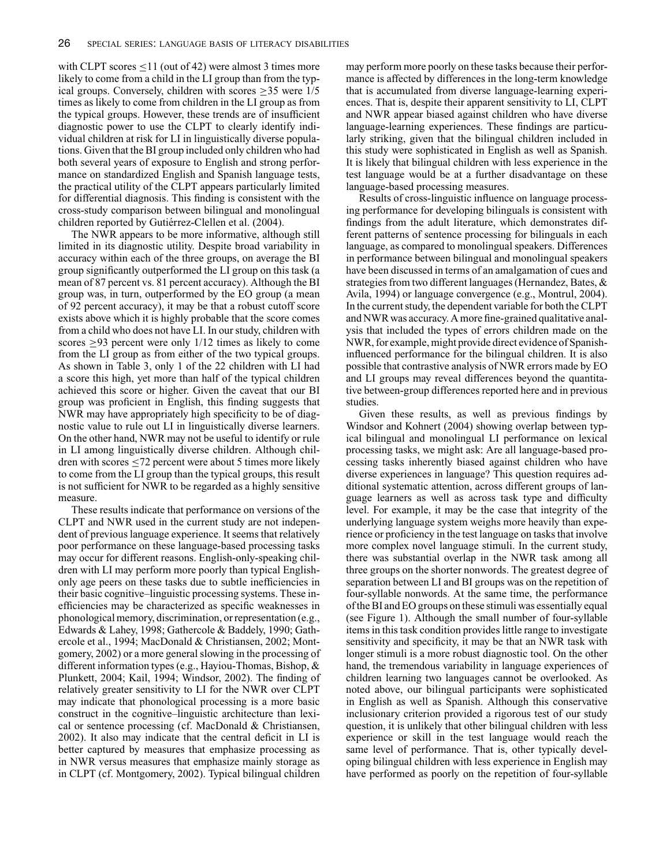with CLPT scores  $\leq$ 11 (out of 42) were almost 3 times more likely to come from a child in the LI group than from the typical groups. Conversely, children with scores  $\geq$ 35 were 1/5 times as likely to come from children in the LI group as from the typical groups. However, these trends are of insufficient diagnostic power to use the CLPT to clearly identify individual children at risk for LI in linguistically diverse populations. Given that the BI group included only children who had both several years of exposure to English and strong performance on standardized English and Spanish language tests, the practical utility of the CLPT appears particularly limited for differential diagnosis. This finding is consistent with the cross-study comparison between bilingual and monolingual children reported by Gutiérrez-Clellen et al. (2004).

The NWR appears to be more informative, although still limited in its diagnostic utility. Despite broad variability in accuracy within each of the three groups, on average the BI group significantly outperformed the LI group on this task (a mean of 87 percent vs. 81 percent accuracy). Although the BI group was, in turn, outperformed by the EO group (a mean of 92 percent accuracy), it may be that a robust cutoff score exists above which it is highly probable that the score comes from a child who does not have LI. In our study, children with scores  $\geq$ 93 percent were only 1/12 times as likely to come from the LI group as from either of the two typical groups. As shown in Table 3, only 1 of the 22 children with LI had a score this high, yet more than half of the typical children achieved this score or higher. Given the caveat that our BI group was proficient in English, this finding suggests that NWR may have appropriately high specificity to be of diagnostic value to rule out LI in linguistically diverse learners. On the other hand, NWR may not be useful to identify or rule in LI among linguistically diverse children. Although children with scores  $\leq$ 72 percent were about 5 times more likely to come from the LI group than the typical groups, this result is not sufficient for NWR to be regarded as a highly sensitive measure.

These results indicate that performance on versions of the CLPT and NWR used in the current study are not independent of previous language experience. It seems that relatively poor performance on these language-based processing tasks may occur for different reasons. English-only-speaking children with LI may perform more poorly than typical Englishonly age peers on these tasks due to subtle inefficiencies in their basic cognitive–linguistic processing systems. These inefficiencies may be characterized as specific weaknesses in phonological memory, discrimination, or representation (e.g., Edwards & Lahey, 1998; Gathercole & Baddely, 1990; Gathercole et al., 1994; MacDonald & Christiansen, 2002; Montgomery, 2002) or a more general slowing in the processing of different information types (e.g., Hayiou-Thomas, Bishop, & Plunkett, 2004; Kail, 1994; Windsor, 2002). The finding of relatively greater sensitivity to LI for the NWR over CLPT may indicate that phonological processing is a more basic construct in the cognitive–linguistic architecture than lexical or sentence processing (cf. MacDonald & Christiansen, 2002). It also may indicate that the central deficit in LI is better captured by measures that emphasize processing as in NWR versus measures that emphasize mainly storage as in CLPT (cf. Montgomery, 2002). Typical bilingual children

may perform more poorly on these tasks because their performance is affected by differences in the long-term knowledge that is accumulated from diverse language-learning experiences. That is, despite their apparent sensitivity to LI, CLPT and NWR appear biased against children who have diverse language-learning experiences. These findings are particularly striking, given that the bilingual children included in this study were sophisticated in English as well as Spanish. It is likely that bilingual children with less experience in the test language would be at a further disadvantage on these language-based processing measures.

Results of cross-linguistic influence on language processing performance for developing bilinguals is consistent with findings from the adult literature, which demonstrates different patterns of sentence processing for bilinguals in each language, as compared to monolingual speakers. Differences in performance between bilingual and monolingual speakers have been discussed in terms of an amalgamation of cues and strategies from two different languages (Hernandez, Bates, & Avila, 1994) or language convergence (e.g., Montrul, 2004). In the current study, the dependent variable for both the CLPT and NWR was accuracy. A more fine-grained qualitative analysis that included the types of errors children made on the NWR, for example, might provide direct evidence of Spanishinfluenced performance for the bilingual children. It is also possible that contrastive analysis of NWR errors made by EO and LI groups may reveal differences beyond the quantitative between-group differences reported here and in previous studies.

Given these results, as well as previous findings by Windsor and Kohnert (2004) showing overlap between typical bilingual and monolingual LI performance on lexical processing tasks, we might ask: Are all language-based processing tasks inherently biased against children who have diverse experiences in language? This question requires additional systematic attention, across different groups of language learners as well as across task type and difficulty level. For example, it may be the case that integrity of the underlying language system weighs more heavily than experience or proficiency in the test language on tasks that involve more complex novel language stimuli. In the current study, there was substantial overlap in the NWR task among all three groups on the shorter nonwords. The greatest degree of separation between LI and BI groups was on the repetition of four-syllable nonwords. At the same time, the performance of the BI and EO groups on these stimuli was essentially equal (see Figure 1). Although the small number of four-syllable items in this task condition provides little range to investigate sensitivity and specificity, it may be that an NWR task with longer stimuli is a more robust diagnostic tool. On the other hand, the tremendous variability in language experiences of children learning two languages cannot be overlooked. As noted above, our bilingual participants were sophisticated in English as well as Spanish. Although this conservative inclusionary criterion provided a rigorous test of our study question, it is unlikely that other bilingual children with less experience or skill in the test language would reach the same level of performance. That is, other typically developing bilingual children with less experience in English may have performed as poorly on the repetition of four-syllable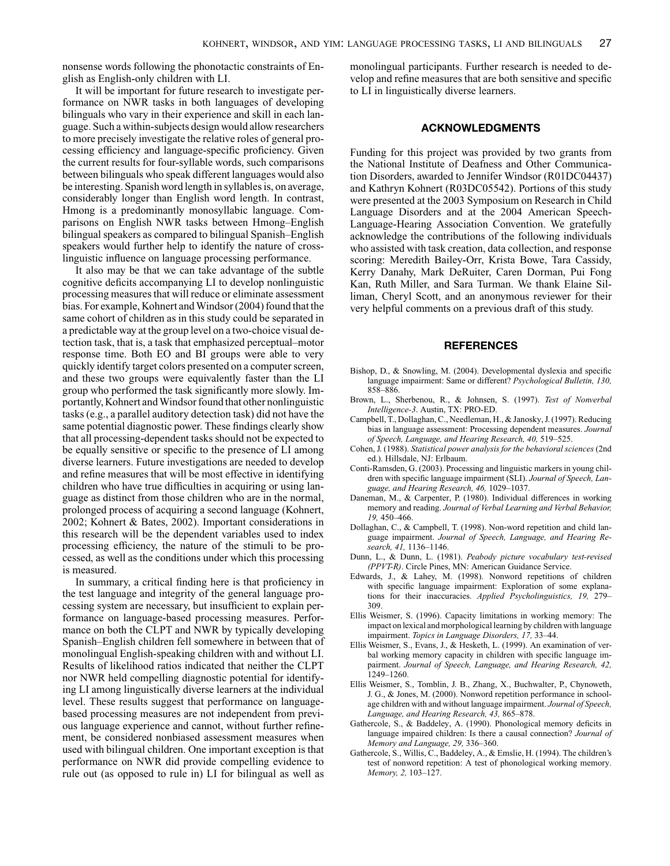nonsense words following the phonotactic constraints of English as English-only children with LI.

It will be important for future research to investigate performance on NWR tasks in both languages of developing bilinguals who vary in their experience and skill in each language. Such a within-subjects design would allow researchers to more precisely investigate the relative roles of general processing efficiency and language-specific proficiency. Given the current results for four-syllable words, such comparisons between bilinguals who speak different languages would also be interesting. Spanish word length in syllables is, on average, considerably longer than English word length. In contrast, Hmong is a predominantly monosyllabic language. Comparisons on English NWR tasks between Hmong–English bilingual speakers as compared to bilingual Spanish–English speakers would further help to identify the nature of crosslinguistic influence on language processing performance.

It also may be that we can take advantage of the subtle cognitive deficits accompanying LI to develop nonlinguistic processing measures that will reduce or eliminate assessment bias. For example, Kohnert and Windsor (2004) found that the same cohort of children as in this study could be separated in a predictable way at the group level on a two-choice visual detection task, that is, a task that emphasized perceptual–motor response time. Both EO and BI groups were able to very quickly identify target colors presented on a computer screen, and these two groups were equivalently faster than the LI group who performed the task significantly more slowly. Importantly, Kohnert and Windsor found that other nonlinguistic tasks (e.g., a parallel auditory detection task) did not have the same potential diagnostic power. These findings clearly show that all processing-dependent tasks should not be expected to be equally sensitive or specific to the presence of LI among diverse learners. Future investigations are needed to develop and refine measures that will be most effective in identifying children who have true difficulties in acquiring or using language as distinct from those children who are in the normal, prolonged process of acquiring a second language (Kohnert, 2002; Kohnert & Bates, 2002). Important considerations in this research will be the dependent variables used to index processing efficiency, the nature of the stimuli to be processed, as well as the conditions under which this processing is measured.

In summary, a critical finding here is that proficiency in the test language and integrity of the general language processing system are necessary, but insufficient to explain performance on language-based processing measures. Performance on both the CLPT and NWR by typically developing Spanish–English children fell somewhere in between that of monolingual English-speaking children with and without LI. Results of likelihood ratios indicated that neither the CLPT nor NWR held compelling diagnostic potential for identifying LI among linguistically diverse learners at the individual level. These results suggest that performance on languagebased processing measures are not independent from previous language experience and cannot, without further refinement, be considered nonbiased assessment measures when used with bilingual children. One important exception is that performance on NWR did provide compelling evidence to rule out (as opposed to rule in) LI for bilingual as well as monolingual participants. Further research is needed to develop and refine measures that are both sensitive and specific to LI in linguistically diverse learners.

## **ACKNOWLEDGMENTS**

Funding for this project was provided by two grants from the National Institute of Deafness and Other Communication Disorders, awarded to Jennifer Windsor (R01DC04437) and Kathryn Kohnert (R03DC05542). Portions of this study were presented at the 2003 Symposium on Research in Child Language Disorders and at the 2004 American Speech-Language-Hearing Association Convention. We gratefully acknowledge the contributions of the following individuals who assisted with task creation, data collection, and response scoring: Meredith Bailey-Orr, Krista Bowe, Tara Cassidy, Kerry Danahy, Mark DeRuiter, Caren Dorman, Pui Fong Kan, Ruth Miller, and Sara Turman. We thank Elaine Silliman, Cheryl Scott, and an anonymous reviewer for their very helpful comments on a previous draft of this study.

#### **REFERENCES**

- Bishop, D., & Snowling, M. (2004). Developmental dyslexia and specific language impairment: Same or different? *Psychological Bulletin, 130,* 858–886.
- Brown, L., Sherbenou, R., & Johnsen, S. (1997). *Test of Nonverbal Intelligence-3*. Austin, TX: PRO-ED.
- Campbell, T., Dollaghan, C., Needleman, H., & Janosky, J. (1997). Reducing bias in language assessment: Processing dependent measures. *Journal of Speech, Language, and Hearing Research, 40,* 519–525.
- Cohen, J. (1988). *Statistical power analysis for the behavioral sciences* (2nd ed.). Hillsdale, NJ: Erlbaum.
- Conti-Ramsden, G. (2003). Processing and linguistic markers in young children with specific language impairment (SLI). *Journal of Speech, Language, and Hearing Research, 46,* 1029–1037.
- Daneman, M., & Carpenter, P. (1980). Individual differences in working memory and reading. *Journal of Verbal Learning and Verbal Behavior, 19,* 450–466.
- Dollaghan, C., & Campbell, T. (1998). Non-word repetition and child language impairment. *Journal of Speech, Language, and Hearing Research, 41,* 1136–1146.
- Dunn, L., & Dunn, L. (1981). *Peabody picture vocabulary test-revised (PPVT-R)*. Circle Pines, MN: American Guidance Service.
- Edwards, J., & Lahey, M. (1998). Nonword repetitions of children with specific language impairment: Exploration of some explanations for their inaccuracies. *Applied Psycholinguistics, 19,* 279– 309.
- Ellis Weismer, S. (1996). Capacity limitations in working memory: The impact on lexical and morphological learning by children with language impairment. *Topics in Language Disorders, 17,* 33–44.
- Ellis Weismer, S., Evans, J., & Hesketh, L. (1999). An examination of verbal working memory capacity in children with specific language impairment. *Journal of Speech, Language, and Hearing Research, 42,* 1249–1260.
- Ellis Weismer, S., Tomblin, J. B., Zhang, X., Buchwalter, P., Chynoweth, J. G., & Jones, M. (2000). Nonword repetition performance in schoolage children with and without language impairment. *Journal of Speech, Language, and Hearing Research, 43,* 865–878.
- Gathercole, S., & Baddeley, A. (1990). Phonological memory deficits in language impaired children: Is there a causal connection? *Journal of Memory and Language, 29,* 336–360.
- Gathercole, S., Willis, C., Baddeley, A., & Emslie, H. (1994). The children's test of nonword repetition: A test of phonological working memory. *Memory, 2,* 103–127.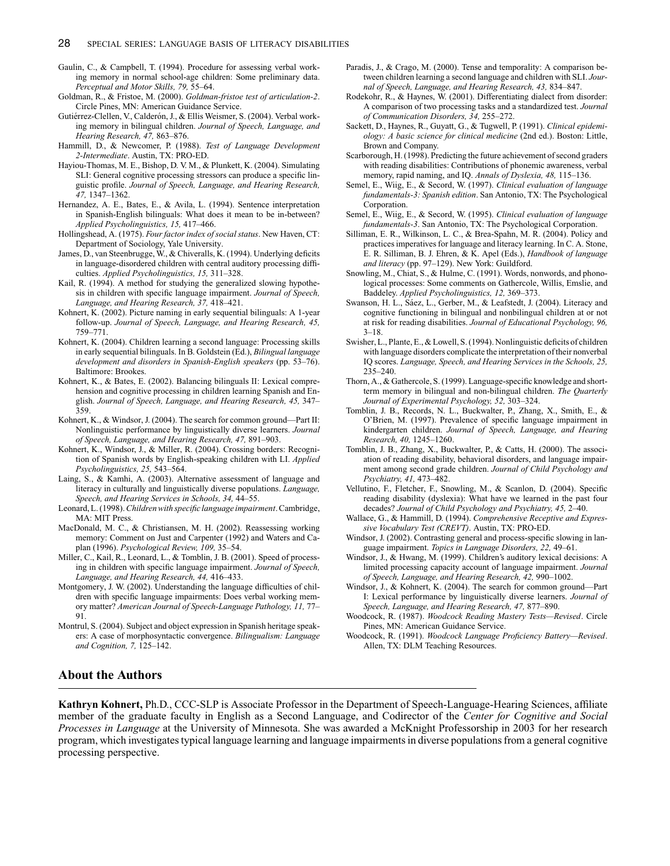- Gaulin, C., & Campbell, T. (1994). Procedure for assessing verbal working memory in normal school-age children: Some preliminary data. *Perceptual and Motor Skills, 79,* 55–64.
- Goldman, R., & Fristoe, M. (2000). *Goldman-fristoe test of articulation-2*. Circle Pines, MN: American Guidance Service.
- Gutiérrez-Clellen, V., Calderón, J., & Ellis Weismer, S. (2004). Verbal working memory in bilingual children. *Journal of Speech, Language, and Hearing Research, 47,* 863–876.
- Hammill, D., & Newcomer, P. (1988). *Test of Language Development 2-Intermediate*. Austin, TX: PRO-ED.
- Hayiou-Thomas, M. E., Bishop, D. V. M., & Plunkett, K. (2004). Simulating SLI: General cognitive processing stressors can produce a specific linguistic profile. *Journal of Speech, Language, and Hearing Research, 47,* 1347–1362.
- Hernandez, A. E., Bates, E., & Avila, L. (1994). Sentence interpretation in Spanish-English bilinguals: What does it mean to be in-between? *Applied Psycholinguistics, 15,* 417–466.
- Hollingshead, A. (1975). *Four factor index of social status*. New Haven, CT: Department of Sociology, Yale University.
- James, D., van Steenbrugge, W., & Chiveralls, K. (1994). Underlying deficits in language-disordered children with central auditory processing difficulties. *Applied Psycholinguistics, 15,* 311–328.
- Kail, R. (1994). A method for studying the generalized slowing hypothesis in children with specific language impairment. *Journal of Speech, Language, and Hearing Research, 37,* 418–421.
- Kohnert, K. (2002). Picture naming in early sequential bilinguals: A 1-year follow-up. *Journal of Speech, Language, and Hearing Research, 45,* 759–771.
- Kohnert, K. (2004). Children learning a second language: Processing skills in early sequential bilinguals. In B. Goldstein (Ed.), *Bilingual language development and disorders in Spanish-English speakers* (pp. 53–76). Baltimore: Brookes.
- Kohnert, K., & Bates, E. (2002). Balancing bilinguals II: Lexical comprehension and cognitive processing in children learning Spanish and English. *Journal of Speech, Language, and Hearing Research, 45,* 347– 359.
- Kohnert, K., & Windsor, J. (2004). The search for common ground—Part II: Nonlinguistic performance by linguistically diverse learners. *Journal of Speech, Language, and Hearing Research, 47,* 891–903.
- Kohnert, K., Windsor, J., & Miller, R. (2004). Crossing borders: Recognition of Spanish words by English-speaking children with LI. *Applied Psycholinguistics, 25,* 543–564.
- Laing, S., & Kamhi, A. (2003). Alternative assessment of language and literacy in culturally and linguistically diverse populations. *Language, Speech, and Hearing Services in Schools, 34,* 44–55.
- Leonard, L. (1998).*Children with specific language impairment*. Cambridge, MA: MIT Press.
- MacDonald, M. C., & Christiansen, M. H. (2002). Reassessing working memory: Comment on Just and Carpenter (1992) and Waters and Caplan (1996). *Psychological Review, 109,* 35–54.
- Miller, C., Kail, R., Leonard, L., & Tomblin, J. B. (2001). Speed of processing in children with specific language impairment. *Journal of Speech, Language, and Hearing Research, 44,* 416–433.
- Montgomery, J. W. (2002). Understanding the language difficulties of children with specific language impairments: Does verbal working memory matter? *American Journal of Speech-Language Pathology, 11,* 77– 91.
- Montrul, S. (2004). Subject and object expression in Spanish heritage speakers: A case of morphosyntactic convergence. *Bilingualism: Language and Cognition, 7,* 125–142.
- Paradis, J., & Crago, M. (2000). Tense and temporality: A comparison between children learning a second language and children with SLI. *Journal of Speech, Language, and Hearing Research, 43,* 834–847.
- Rodekohr, R., & Haynes, W. (2001). Differentiating dialect from disorder: A comparison of two processing tasks and a standardized test. *Journal of Communication Disorders, 34,* 255–272.
- Sackett, D., Haynes, R., Guyatt, G., & Tugwell, P. (1991). *Clinical epidemiology: A basic science for clinical medicine* (2nd ed.). Boston: Little, Brown and Company.
- Scarborough, H. (1998). Predicting the future achievement of second graders with reading disabilities: Contributions of phonemic awareness, verbal memory, rapid naming, and IQ. *Annals of Dyslexia, 48,* 115–136.
- Semel, E., Wiig, E., & Secord, W. (1997). *Clinical evaluation of language fundamentals-3: Spanish edition*. San Antonio, TX: The Psychological Corporation.
- Semel, E., Wiig, E., & Secord, W. (1995). *Clinical evaluation of language fundamentals-3*. San Antonio, TX: The Psychological Corporation.
- Silliman, E. R., Wilkinson, L. C., & Brea-Spahn, M. R. (2004). Policy and practices imperatives for language and literacy learning. In C. A. Stone, E. R. Silliman, B. J. Ehren, & K. Apel (Eds.), *Handbook of language and literacy* (pp. 97–129). New York: Guildford.
- Snowling, M., Chiat, S., & Hulme, C. (1991). Words, nonwords, and phonological processes: Some comments on Gathercole, Willis, Emslie, and Baddeley. *Applied Psycholinguistics, 12,* 369–373.
- Swanson, H. L., Sáez, L., Gerber, M., & Leafstedt, J. (2004). Literacy and cognitive functioning in bilingual and nonbilingual children at or not at risk for reading disabilities. *Journal of Educational Psychology, 96,* 3–18.
- Swisher, L., Plante, E., & Lowell, S. (1994). Nonlinguistic deficits of children with language disorders complicate the interpretation of their nonverbal IQ scores. *Language, Speech, and Hearing Services in the Schools, 25,* 235–240.
- Thorn, A., & Gathercole, S. (1999). Language-specific knowledge and shortterm memory in bilingual and non-bilingual children. *The Quarterly Journal of Experimental Psychology, 52,* 303–324.
- Tomblin, J. B., Records, N. L., Buckwalter, P., Zhang, X., Smith, E., & O'Brien, M. (1997). Prevalence of specific language impairment in kindergarten children. *Journal of Speech, Language, and Hearing Research, 40,* 1245–1260.
- Tomblin, J. B., Zhang, X., Buckwalter, P., & Catts, H. (2000). The association of reading disability, behavioral disorders, and language impairment among second grade children. *Journal of Child Psychology and Psychiatry, 41,* 473–482.
- Vellutino, F., Fletcher, F., Snowling, M., & Scanlon, D. (2004). Specific reading disability (dyslexia): What have we learned in the past four decades? *Journal of Child Psychology and Psychiatry, 45,* 2–40.
- Wallace, G., & Hammill, D. (1994). *Comprehensive Receptive and Expressive Vocabulary Test (CREVT)*. Austin, TX: PRO-ED.
- Windsor, J. (2002). Contrasting general and process-specific slowing in language impairment. *Topics in Language Disorders, 22,* 49–61.
- Windsor, J., & Hwang, M. (1999). Children's auditory lexical decisions: A limited processing capacity account of language impairment. *Journal of Speech, Language, and Hearing Research, 42,* 990–1002.
- Windsor, J., & Kohnert, K. (2004). The search for common ground—Part I: Lexical performance by linguistically diverse learners. *Journal of Speech, Language, and Hearing Research, 47,* 877–890.
- Woodcock, R. (1987). *Woodcock Reading Mastery Tests—Revised*. Circle Pines, MN: American Guidance Service.
- Woodcock, R. (1991). *Woodcock Language Proficiency Battery—Revised*. Allen, TX: DLM Teaching Resources.

## **About the Authors**

**Kathryn Kohnert,** Ph.D., CCC-SLP is Associate Professor in the Department of Speech-Language-Hearing Sciences, affiliate member of the graduate faculty in English as a Second Language, and Codirector of the *Center for Cognitive and Social Processes in Language* at the University of Minnesota. She was awarded a McKnight Professorship in 2003 for her research program, which investigates typical language learning and language impairments in diverse populations from a general cognitive processing perspective.